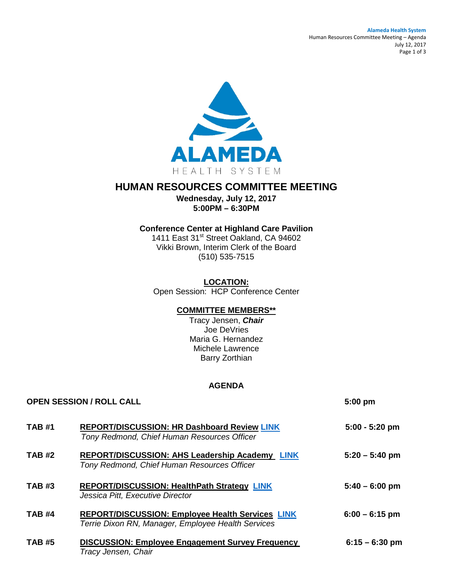#### **Alameda Health System** Human Resources Committee Meeting – Agenda July 12, 2017 Page 1 of 3



# **HUMAN RESOURCES COMMITTEE MEETING**

**Wednesday, July 12, 2017 5:00PM – 6:30PM**

# **Conference Center at Highland Care Pavilion**

1411 East 31<sup>st</sup> Street Oakland, CA 94602 Vikki Brown, Interim Clerk of the Board (510) 535-7515

**LOCATION:** Open Session: HCP Conference Center

# **COMMITTEE MEMBERS\*\***

Tracy Jensen, *Chair* Joe DeVries Maria G. Hernandez Michele Lawrence Barry Zorthian

#### **AGENDA**

| <b>OPEN SESSION / ROLL CALL</b> |                                                                                                               | 5:00 pm          |
|---------------------------------|---------------------------------------------------------------------------------------------------------------|------------------|
| <b>TAB #1</b>                   | <b>REPORT/DISCUSSION: HR Dashboard Review LINK</b><br>Tony Redmond, Chief Human Resources Officer             | $5:00 - 5:20$ pm |
| <b>TAB #2</b>                   | REPORT/DISCUSSION: AHS Leadership Academy LINK<br>Tony Redmond, Chief Human Resources Officer                 | $5:20 - 5:40$ pm |
| <b>TAB#3</b>                    | REPORT/DISCUSSION: HealthPath Strategy LINK<br>Jessica Pitt, Executive Director                               | $5:40 - 6:00$ pm |
| <b>TAB #4</b>                   | <b>REPORT/DISCUSSION: Employee Health Services LINK</b><br>Terrie Dixon RN, Manager, Employee Health Services | $6:00 - 6:15$ pm |
| <b>TAB #5</b>                   | <b>DISCUSSION: Employee Engagement Survey Frequency</b><br>Tracy Jensen, Chair                                | $6:15 - 6:30$ pm |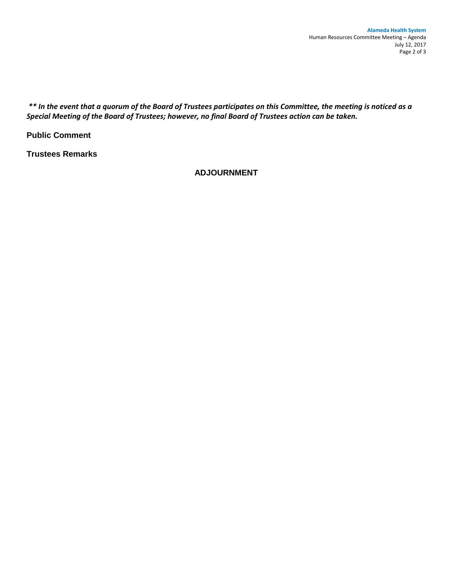*\*\* In the event that a quorum of the Board of Trustees participates on this Committee, the meeting is noticed as a Special Meeting of the Board of Trustees; however, no final Board of Trustees action can be taken.*

**Public Comment** 

**Trustees Remarks** 

**ADJOURNMENT**